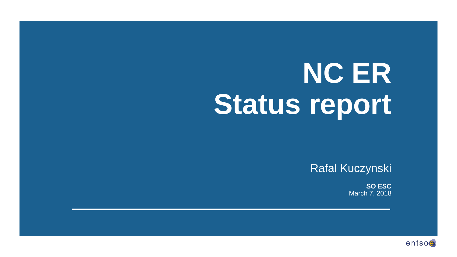# **NC ER Status report**

Rafal Kuczynski

**SO ESC** March 7, 2018

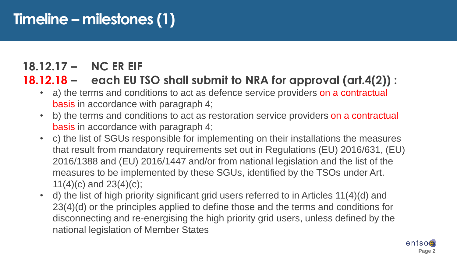## **Timeline – milestones (1)**

#### **18.12.17 – NC ER EIF**

#### **18.12.18 – each EU TSO shall submit to NRA for approval (art.4(2)) :**

- a) the terms and conditions to act as defence service providers on a contractual basis in accordance with paragraph 4;
- b) the terms and conditions to act as restoration service providers on a contractual basis in accordance with paragraph 4;
- c) the list of SGUs responsible for implementing on their installations the measures that result from mandatory requirements set out in Regulations (EU) 2016/631, (EU) 2016/1388 and (EU) 2016/1447 and/or from national legislation and the list of the measures to be implemented by these SGUs, identified by the TSOs under Art. 11(4)(c) and 23(4)(c);
- d) the list of high priority significant grid users referred to in Articles 11(4)(d) and 23(4)(d) or the principles applied to define those and the terms and conditions for disconnecting and re-energising the high priority grid users, unless defined by the national legislation of Member States

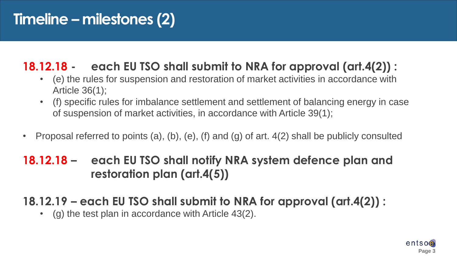## **Timeline – milestones (2)**

## **18.12.18 - each EU TSO shall submit to NRA for approval (art.4(2)) :**

- (e) the rules for suspension and restoration of market activities in accordance with Article 36(1);
- (f) specific rules for imbalance settlement and settlement of balancing energy in case of suspension of market activities, in accordance with Article 39(1);
- Proposal referred to points (a), (b), (e), (f) and (g) of art. 4(2) shall be publicly consulted

#### **18.12.18 – each EU TSO shall notify NRA system defence plan and restoration plan (art.4(5))**

## **18.12.19 – each EU TSO shall submit to NRA for approval (art.4(2)) :**

• (g) the test plan in accordance with Article 43(2).

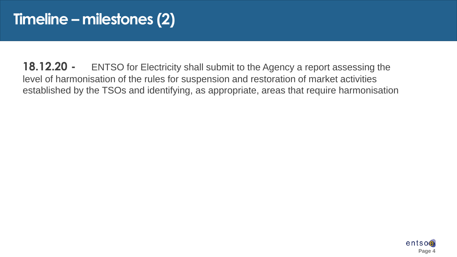**18.12.20 -** ENTSO for Electricity shall submit to the Agency a report assessing the level of harmonisation of the rules for suspension and restoration of market activities established by the TSOs and identifying, as appropriate, areas that require harmonisation

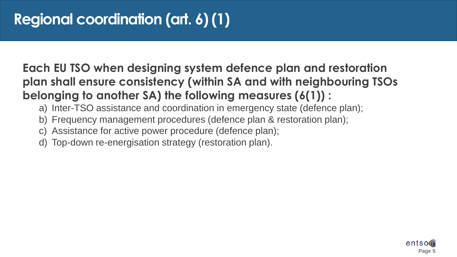## **Each EU TSO when designing system defence plan and restoration plan shall ensure consistency (within SA and with neighbouring TSOs belonging to another SA) the following measures (6(1)) :**

- a) Inter-TSO assistance and coordination in emergency state (defence plan);
- b) Frequency management procedures (defence plan & restoration plan);
- c) Assistance for active power procedure (defence plan);
- d) Top-down re-energisation strategy (restoration plan).

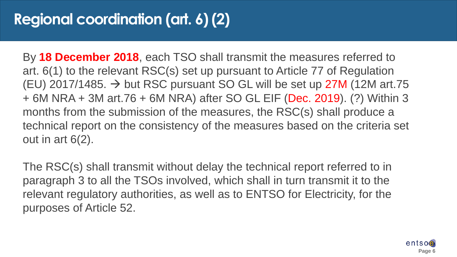By **18 December 2018**, each TSO shall transmit the measures referred to art. 6(1) to the relevant RSC(s) set up pursuant to Article 77 of Regulation (EU) 2017/1485.  $\rightarrow$  but RSC pursuant SO GL will be set up 27M (12M art.75 + 6M NRA + 3M art.76 + 6M NRA) after SO GL EIF (Dec. 2019). (?) Within 3 months from the submission of the measures, the RSC(s) shall produce a technical report on the consistency of the measures based on the criteria set out in art 6(2).

The RSC(s) shall transmit without delay the technical report referred to in paragraph 3 to all the TSOs involved, which shall in turn transmit it to the relevant regulatory authorities, as well as to ENTSO for Electricity, for the purposes of Article 52.

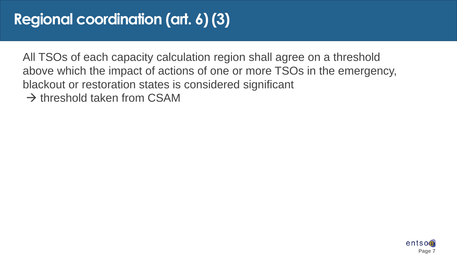## **Regional coordination (art. 6) (3)**

All TSOs of each capacity calculation region shall agree on a threshold above which the impact of actions of one or more TSOs in the emergency, blackout or restoration states is considered significant  $\rightarrow$  threshold taken from CSAM

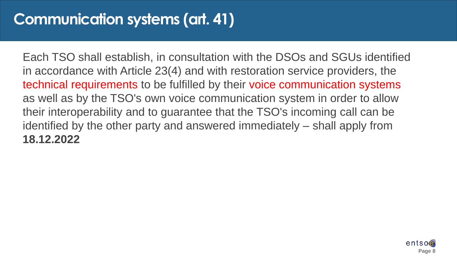## **Communication systems (art. 41)**

Each TSO shall establish, in consultation with the DSOs and SGUs identified in accordance with Article 23(4) and with restoration service providers, the technical requirements to be fulfilled by their voice communication systems as well as by the TSO's own voice communication system in order to allow their interoperability and to guarantee that the TSO's incoming call can be identified by the other party and answered immediately – shall apply from **18.12.2022**

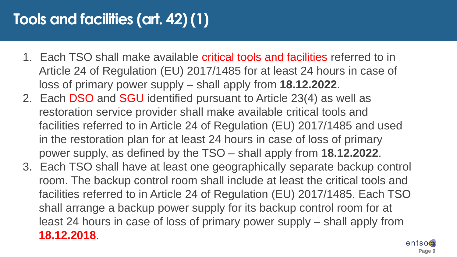## **Tools and facilities (art. 42) (1)**

- 1. Each TSO shall make available critical tools and facilities referred to in Article 24 of Regulation (EU) 2017/1485 for at least 24 hours in case of loss of primary power supply – shall apply from **18.12.2022**.
- 2. Each DSO and SGU identified pursuant to Article 23(4) as well as restoration service provider shall make available critical tools and facilities referred to in Article 24 of Regulation (EU) 2017/1485 and used in the restoration plan for at least 24 hours in case of loss of primary power supply, as defined by the TSO – shall apply from **18.12.2022**.
- 3. Each TSO shall have at least one geographically separate backup control room. The backup control room shall include at least the critical tools and facilities referred to in Article 24 of Regulation (EU) 2017/1485. Each TSO shall arrange a backup power supply for its backup control room for at least 24 hours in case of loss of primary power supply – shall apply from **18.12.2018**.

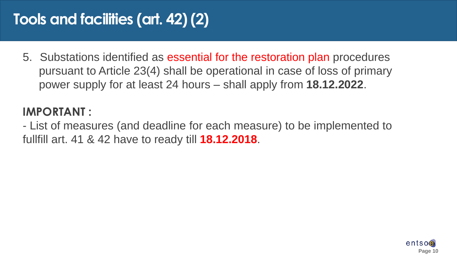## **Tools and facilities (art. 42) (2)**

5. Substations identified as essential for the restoration plan procedures pursuant to Article 23(4) shall be operational in case of loss of primary power supply for at least 24 hours – shall apply from **18.12.2022**.

## **IMPORTANT :**

- List of measures (and deadline for each measure) to be implemented to fullfill art. 41 & 42 have to ready till **18.12.2018**.

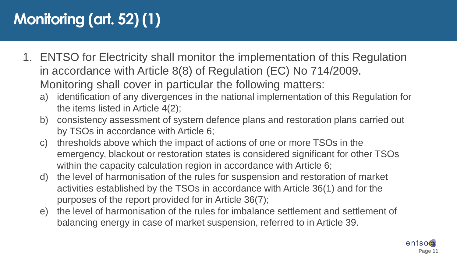# **Monitoring (art. 52) (1)**

- 1. ENTSO for Electricity shall monitor the implementation of this Regulation in accordance with Article 8(8) of Regulation (EC) No 714/2009. Monitoring shall cover in particular the following matters:
	- a) identification of any divergences in the national implementation of this Regulation for the items listed in Article 4(2);
	- b) consistency assessment of system defence plans and restoration plans carried out by TSOs in accordance with Article 6;
	- c) thresholds above which the impact of actions of one or more TSOs in the emergency, blackout or restoration states is considered significant for other TSOs within the capacity calculation region in accordance with Article 6;
	- d) the level of harmonisation of the rules for suspension and restoration of market activities established by the TSOs in accordance with Article 36(1) and for the purposes of the report provided for in Article 36(7);
	- e) the level of harmonisation of the rules for imbalance settlement and settlement of balancing energy in case of market suspension, referred to in Article 39.